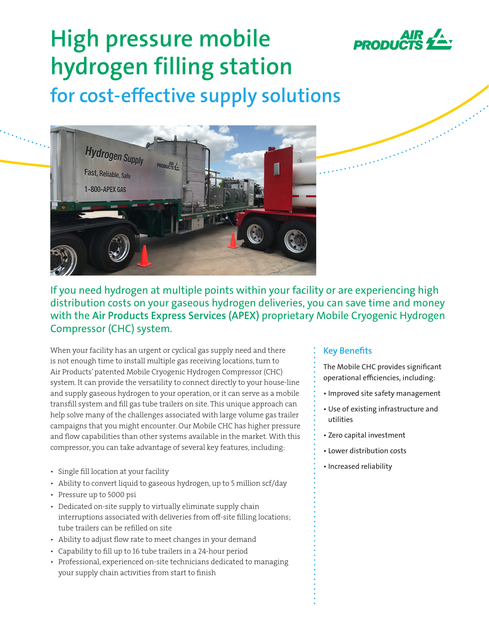

# **High pressure mobile hydrogen filling station for cost-effective supply solutions**



If you need hydrogen at multiple points within your facility or are experiencing high distribution costs on your gaseous hydrogen deliveries, you can save time and money with the **Air Products Express Services (APEX)** proprietary Mobile Cryogenic Hydrogen Compressor (CHC) system.

When your facility has an urgent or cyclical gas supply need and there is not enough time to install multiple gas receiving locations, turn to Air Products' patented Mobile Cryogenic Hydrogen Compressor (CHC) system. It can provide the versatility to connect directly to your house-line and supply gaseous hydrogen to your operation, or it can serve as a mobile transfill system and fill gas tube trailers on site. This unique approach can help solve many of the challenges associated with large volume gas trailer campaigns that you might encounter. Our Mobile CHC has higher pressure and flow capabilities than other systems available in the market. With this compressor, you can take advantage of several key features, including:

- Single fill location at your facility
- Ability to convert liquid to gaseous hydrogen, up to 5 million scf/day
- Pressure up to 5000 psi
- Dedicated on-site supply to virtually eliminate supply chain interruptions associated with deliveries from off-site filling locations; tube trailers can be refilled on site
- Ability to adjust flow rate to meet changes in your demand
- Capability to fill up to 16 tube trailers in a 24-hour period
- Professional, experienced on-site technicians dedicated to managing your supply chain activities from start to finish

### **Key Benefits**

- The Mobile CHC provides significant operational efficiencies, including:
- Improved site safety management
- Use of existing infrastructure and utilities
- Zero capital investment
- Lower distribution costs
- Increased reliability